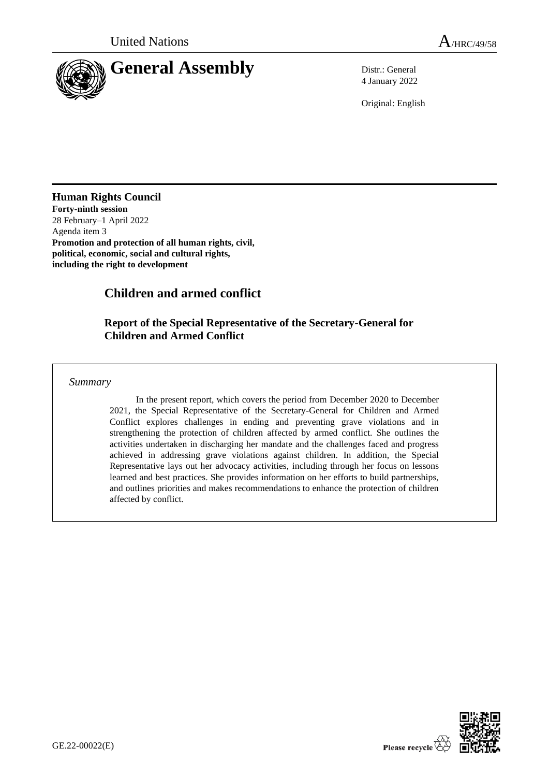

4 January 2022

Original: English

# **Human Rights Council**

**Forty-ninth session** 28 February–1 April 2022 Agenda item 3 **Promotion and protection of all human rights, civil, political, economic, social and cultural rights, including the right to development**

# **Children and armed conflict**

# **Report of the Special Representative of the Secretary-General for Children and Armed Conflict**

*Summary*

In the present report, which covers the period from December 2020 to December 2021, the Special Representative of the Secretary-General for Children and Armed Conflict explores challenges in ending and preventing grave violations and in strengthening the protection of children affected by armed conflict. She outlines the activities undertaken in discharging her mandate and the challenges faced and progress achieved in addressing grave violations against children. In addition, the Special Representative lays out her advocacy activities, including through her focus on lessons learned and best practices. She provides information on her efforts to build partnerships, and outlines priorities and makes recommendations to enhance the protection of children affected by conflict.

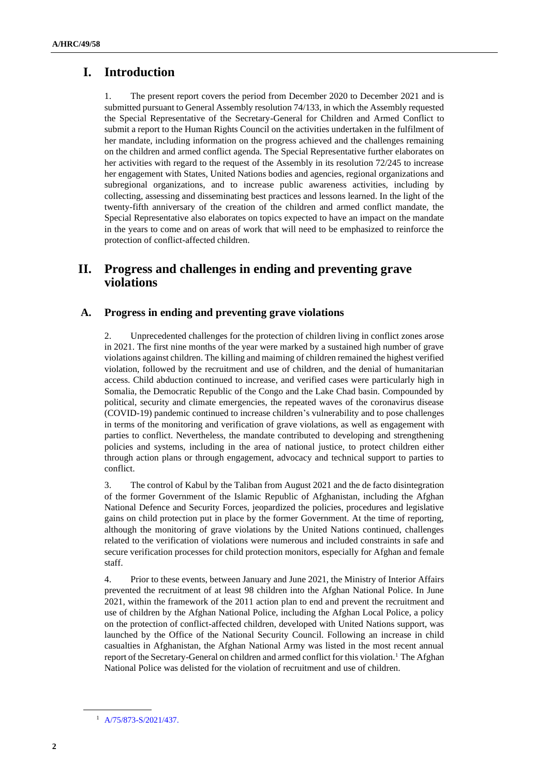# **I. Introduction**

1. The present report covers the period from December 2020 to December 2021 and is submitted pursuant to General Assembly resolution 74/133, in which the Assembly requested the Special Representative of the Secretary-General for Children and Armed Conflict to submit a report to the Human Rights Council on the activities undertaken in the fulfilment of her mandate, including information on the progress achieved and the challenges remaining on the children and armed conflict agenda. The Special Representative further elaborates on her activities with regard to the request of the Assembly in its resolution 72/245 to increase her engagement with States, United Nations bodies and agencies, regional organizations and subregional organizations, and to increase public awareness activities, including by collecting, assessing and disseminating best practices and lessons learned. In the light of the twenty-fifth anniversary of the creation of the children and armed conflict mandate, the Special Representative also elaborates on topics expected to have an impact on the mandate in the years to come and on areas of work that will need to be emphasized to reinforce the protection of conflict-affected children.

# **II. Progress and challenges in ending and preventing grave violations**

# **A. Progress in ending and preventing grave violations**

2. Unprecedented challenges for the protection of children living in conflict zones arose in 2021. The first nine months of the year were marked by a sustained high number of grave violations against children. The killing and maiming of children remained the highest verified violation, followed by the recruitment and use of children, and the denial of humanitarian access. Child abduction continued to increase, and verified cases were particularly high in Somalia, the Democratic Republic of the Congo and the Lake Chad basin. Compounded by political, security and climate emergencies, the repeated waves of the coronavirus disease (COVID-19) pandemic continued to increase children's vulnerability and to pose challenges in terms of the monitoring and verification of grave violations, as well as engagement with parties to conflict. Nevertheless, the mandate contributed to developing and strengthening policies and systems, including in the area of national justice, to protect children either through action plans or through engagement, advocacy and technical support to parties to conflict.

3. The control of Kabul by the Taliban from August 2021 and the de facto disintegration of the former Government of the Islamic Republic of Afghanistan, including the Afghan National Defence and Security Forces, jeopardized the policies, procedures and legislative gains on child protection put in place by the former Government. At the time of reporting, although the monitoring of grave violations by the United Nations continued, challenges related to the verification of violations were numerous and included constraints in safe and secure verification processes for child protection monitors, especially for Afghan and female staff.

4. Prior to these events, between January and June 2021, the Ministry of Interior Affairs prevented the recruitment of at least 98 children into the Afghan National Police. In June 2021, within the framework of the 2011 action plan to end and prevent the recruitment and use of children by the Afghan National Police, including the Afghan Local Police, a policy on the protection of conflict-affected children, developed with United Nations support, was launched by the Office of the National Security Council. Following an increase in child casualties in Afghanistan, the Afghan National Army was listed in the most recent annual report of the Secretary-General on children and armed conflict for this violation.<sup>1</sup> The Afghan National Police was delisted for the violation of recruitment and use of children.

<sup>1</sup> [A/75/873-S/2021/437.](http://undocs.org/en/A/75/873-S/2021/437.)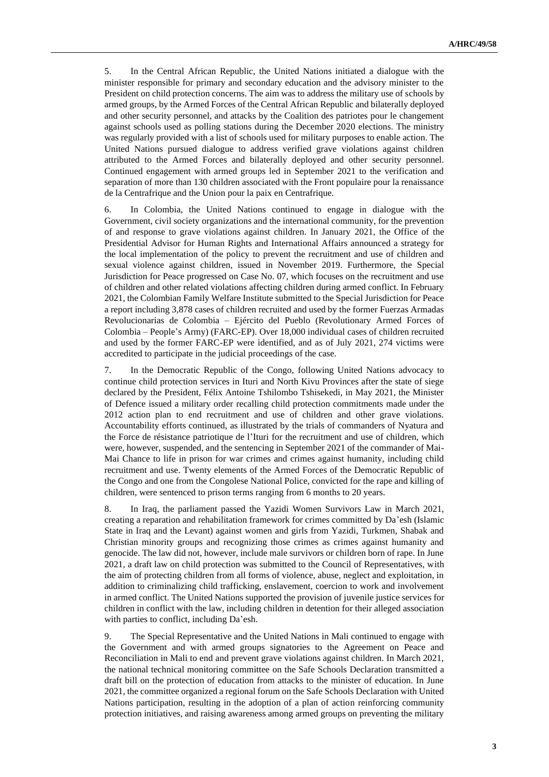5. In the Central African Republic, the United Nations initiated a dialogue with the minister responsible for primary and secondary education and the advisory minister to the President on child protection concerns. The aim was to address the military use of schools by armed groups, by the Armed Forces of the Central African Republic and bilaterally deployed and other security personnel, and attacks by the Coalition des patriotes pour le changement against schools used as polling stations during the December 2020 elections. The ministry was regularly provided with a list of schools used for military purposes to enable action. The United Nations pursued dialogue to address verified grave violations against children attributed to the Armed Forces and bilaterally deployed and other security personnel. Continued engagement with armed groups led in September 2021 to the verification and separation of more than 130 children associated with the Front populaire pour la renaissance de la Centrafrique and the Union pour la paix en Centrafrique.

6. In Colombia, the United Nations continued to engage in dialogue with the Government, civil society organizations and the international community, for the prevention of and response to grave violations against children. In January 2021, the Office of the Presidential Advisor for Human Rights and International Affairs announced a strategy for the local implementation of the policy to prevent the recruitment and use of children and sexual violence against children, issued in November 2019. Furthermore, the Special Jurisdiction for Peace progressed on Case No. 07, which focuses on the recruitment and use of children and other related violations affecting children during armed conflict. In February 2021, the Colombian Family Welfare Institute submitted to the Special Jurisdiction for Peace a report including 3,878 cases of children recruited and used by the former Fuerzas Armadas Revolucionarias de Colombia – Ejército del Pueblo (Revolutionary Armed Forces of Colombia – People's Army) (FARC-EP). Over 18,000 individual cases of children recruited and used by the former FARC-EP were identified, and as of July 2021, 274 victims were accredited to participate in the judicial proceedings of the case.

7. In the Democratic Republic of the Congo, following United Nations advocacy to continue child protection services in Ituri and North Kivu Provinces after the state of siege declared by the President, Félix Antoine Tshilombo Tshisekedi, in May 2021, the Minister of Defence issued a military order recalling child protection commitments made under the 2012 action plan to end recruitment and use of children and other grave violations. Accountability efforts continued, as illustrated by the trials of commanders of Nyatura and the Force de résistance patriotique de l'Ituri for the recruitment and use of children, which were, however, suspended, and the sentencing in September 2021 of the commander of Mai-Mai Chance to life in prison for war crimes and crimes against humanity, including child recruitment and use. Twenty elements of the Armed Forces of the Democratic Republic of the Congo and one from the Congolese National Police, convicted for the rape and killing of children, were sentenced to prison terms ranging from 6 months to 20 years.

8. In Iraq, the parliament passed the Yazidi Women Survivors Law in March 2021, creating a reparation and rehabilitation framework for crimes committed by Da'esh (Islamic State in Iraq and the Levant) against women and girls from Yazidi, Turkmen, Shabak and Christian minority groups and recognizing those crimes as crimes against humanity and genocide. The law did not, however, include male survivors or children born of rape. In June 2021, a draft law on child protection was submitted to the Council of Representatives, with the aim of protecting children from all forms of violence, abuse, neglect and exploitation, in addition to criminalizing child trafficking, enslavement, coercion to work and involvement in armed conflict. The United Nations supported the provision of juvenile justice services for children in conflict with the law, including children in detention for their alleged association with parties to conflict, including Da'esh.

9. The Special Representative and the United Nations in Mali continued to engage with the Government and with armed groups signatories to the Agreement on Peace and Reconciliation in Mali to end and prevent grave violations against children. In March 2021, the national technical monitoring committee on the Safe Schools Declaration transmitted a draft bill on the protection of education from attacks to the minister of education. In June 2021, the committee organized a regional forum on the Safe Schools Declaration with United Nations participation, resulting in the adoption of a plan of action reinforcing community protection initiatives, and raising awareness among armed groups on preventing the military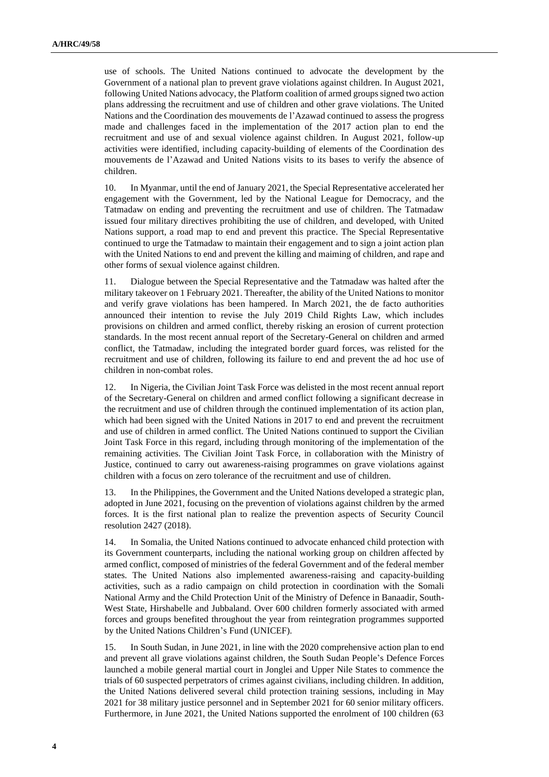use of schools. The United Nations continued to advocate the development by the Government of a national plan to prevent grave violations against children. In August 2021, following United Nations advocacy, the Platform coalition of armed groups signed two action plans addressing the recruitment and use of children and other grave violations. The United Nations and the Coordination des mouvements de l'Azawad continued to assess the progress made and challenges faced in the implementation of the 2017 action plan to end the recruitment and use of and sexual violence against children. In August 2021, follow-up activities were identified, including capacity-building of elements of the Coordination des mouvements de l'Azawad and United Nations visits to its bases to verify the absence of children.

10. In Myanmar, until the end of January 2021, the Special Representative accelerated her engagement with the Government, led by the National League for Democracy, and the Tatmadaw on ending and preventing the recruitment and use of children. The Tatmadaw issued four military directives prohibiting the use of children, and developed, with United Nations support, a road map to end and prevent this practice. The Special Representative continued to urge the Tatmadaw to maintain their engagement and to sign a joint action plan with the United Nations to end and prevent the killing and maiming of children, and rape and other forms of sexual violence against children.

11. Dialogue between the Special Representative and the Tatmadaw was halted after the military takeover on 1 February 2021. Thereafter, the ability of the United Nations to monitor and verify grave violations has been hampered. In March 2021, the de facto authorities announced their intention to revise the July 2019 Child Rights Law, which includes provisions on children and armed conflict, thereby risking an erosion of current protection standards. In the most recent annual report of the Secretary-General on children and armed conflict, the Tatmadaw, including the integrated border guard forces, was relisted for the recruitment and use of children, following its failure to end and prevent the ad hoc use of children in non-combat roles.

12. In Nigeria, the Civilian Joint Task Force was delisted in the most recent annual report of the Secretary-General on children and armed conflict following a significant decrease in the recruitment and use of children through the continued implementation of its action plan, which had been signed with the United Nations in 2017 to end and prevent the recruitment and use of children in armed conflict. The United Nations continued to support the Civilian Joint Task Force in this regard, including through monitoring of the implementation of the remaining activities. The Civilian Joint Task Force, in collaboration with the Ministry of Justice, continued to carry out awareness-raising programmes on grave violations against children with a focus on zero tolerance of the recruitment and use of children.

13. In the Philippines, the Government and the United Nations developed a strategic plan, adopted in June 2021, focusing on the prevention of violations against children by the armed forces. It is the first national plan to realize the prevention aspects of Security Council resolution 2427 (2018).

14. In Somalia, the United Nations continued to advocate enhanced child protection with its Government counterparts, including the national working group on children affected by armed conflict, composed of ministries of the federal Government and of the federal member states. The United Nations also implemented awareness-raising and capacity-building activities, such as a radio campaign on child protection in coordination with the Somali National Army and the Child Protection Unit of the Ministry of Defence in Banaadir, South-West State, Hirshabelle and Jubbaland. Over 600 children formerly associated with armed forces and groups benefited throughout the year from reintegration programmes supported by the United Nations Children's Fund (UNICEF).

15. In South Sudan, in June 2021, in line with the 2020 comprehensive action plan to end and prevent all grave violations against children, the South Sudan People's Defence Forces launched a mobile general martial court in Jonglei and Upper Nile States to commence the trials of 60 suspected perpetrators of crimes against civilians, including children. In addition, the United Nations delivered several child protection training sessions, including in May 2021 for 38 military justice personnel and in September 2021 for 60 senior military officers. Furthermore, in June 2021, the United Nations supported the enrolment of 100 children (63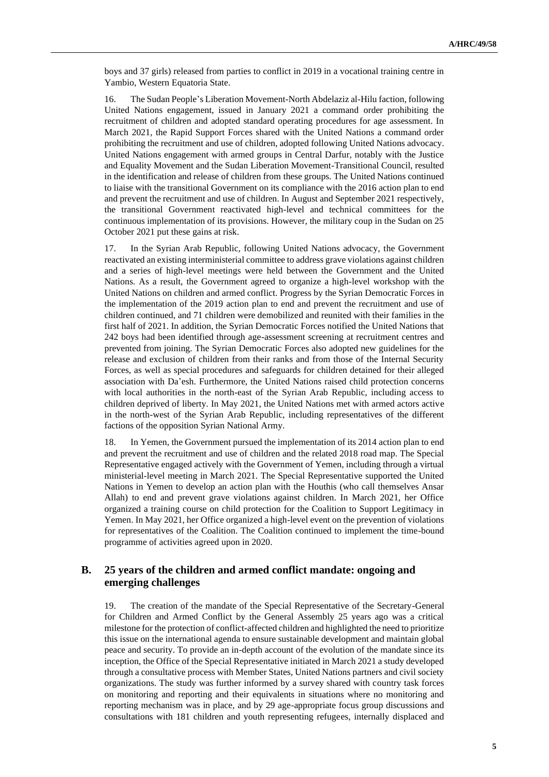boys and 37 girls) released from parties to conflict in 2019 in a vocational training centre in Yambio, Western Equatoria State.

16. The Sudan People's Liberation Movement-North Abdelaziz al-Hilu faction, following United Nations engagement, issued in January 2021 a command order prohibiting the recruitment of children and adopted standard operating procedures for age assessment. In March 2021, the Rapid Support Forces shared with the United Nations a command order prohibiting the recruitment and use of children, adopted following United Nations advocacy. United Nations engagement with armed groups in Central Darfur, notably with the Justice and Equality Movement and the Sudan Liberation Movement-Transitional Council, resulted in the identification and release of children from these groups. The United Nations continued to liaise with the transitional Government on its compliance with the 2016 action plan to end and prevent the recruitment and use of children. In August and September 2021 respectively, the transitional Government reactivated high-level and technical committees for the continuous implementation of its provisions. However, the military coup in the Sudan on 25 October 2021 put these gains at risk.

17. In the Syrian Arab Republic, following United Nations advocacy, the Government reactivated an existing interministerial committee to address grave violations against children and a series of high-level meetings were held between the Government and the United Nations. As a result, the Government agreed to organize a high-level workshop with the United Nations on children and armed conflict. Progress by the Syrian Democratic Forces in the implementation of the 2019 action plan to end and prevent the recruitment and use of children continued, and 71 children were demobilized and reunited with their families in the first half of 2021. In addition, the Syrian Democratic Forces notified the United Nations that 242 boys had been identified through age-assessment screening at recruitment centres and prevented from joining. The Syrian Democratic Forces also adopted new guidelines for the release and exclusion of children from their ranks and from those of the Internal Security Forces, as well as special procedures and safeguards for children detained for their alleged association with Da'esh. Furthermore, the United Nations raised child protection concerns with local authorities in the north-east of the Syrian Arab Republic, including access to children deprived of liberty. In May 2021, the United Nations met with armed actors active in the north-west of the Syrian Arab Republic, including representatives of the different factions of the opposition Syrian National Army.

18. In Yemen, the Government pursued the implementation of its 2014 action plan to end and prevent the recruitment and use of children and the related 2018 road map. The Special Representative engaged actively with the Government of Yemen, including through a virtual ministerial-level meeting in March 2021. The Special Representative supported the United Nations in Yemen to develop an action plan with the Houthis (who call themselves Ansar Allah) to end and prevent grave violations against children. In March 2021, her Office organized a training course on child protection for the Coalition to Support Legitimacy in Yemen. In May 2021, her Office organized a high-level event on the prevention of violations for representatives of the Coalition. The Coalition continued to implement the time-bound programme of activities agreed upon in 2020.

## **B. 25 years of the children and armed conflict mandate: ongoing and emerging challenges**

19. The creation of the mandate of the Special Representative of the Secretary-General for Children and Armed Conflict by the General Assembly 25 years ago was a critical milestone for the protection of conflict-affected children and highlighted the need to prioritize this issue on the international agenda to ensure sustainable development and maintain global peace and security. To provide an in-depth account of the evolution of the mandate since its inception, the Office of the Special Representative initiated in March 2021 a study developed through a consultative process with Member States, United Nations partners and civil society organizations. The study was further informed by a survey shared with country task forces on monitoring and reporting and their equivalents in situations where no monitoring and reporting mechanism was in place, and by 29 age-appropriate focus group discussions and consultations with 181 children and youth representing refugees, internally displaced and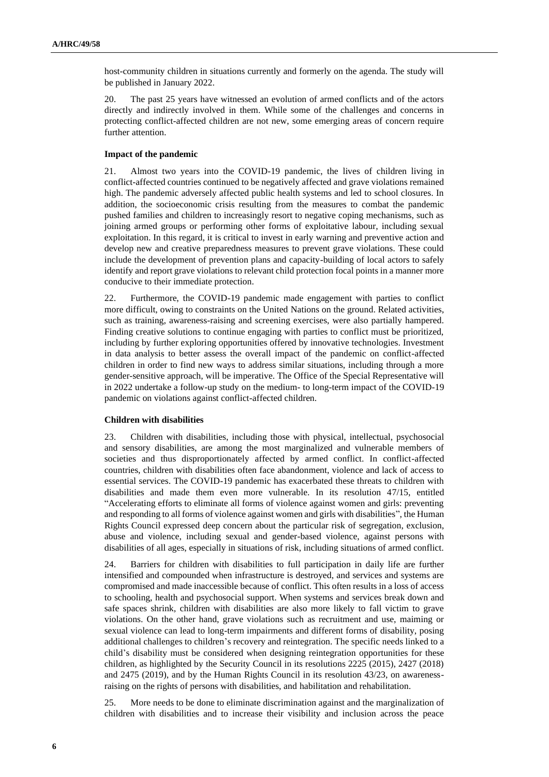host-community children in situations currently and formerly on the agenda. The study will be published in January 2022.

20. The past 25 years have witnessed an evolution of armed conflicts and of the actors directly and indirectly involved in them. While some of the challenges and concerns in protecting conflict-affected children are not new, some emerging areas of concern require further attention.

### **Impact of the pandemic**

21. Almost two years into the COVID-19 pandemic, the lives of children living in conflict-affected countries continued to be negatively affected and grave violations remained high. The pandemic adversely affected public health systems and led to school closures. In addition, the socioeconomic crisis resulting from the measures to combat the pandemic pushed families and children to increasingly resort to negative coping mechanisms, such as joining armed groups or performing other forms of exploitative labour, including sexual exploitation. In this regard, it is critical to invest in early warning and preventive action and develop new and creative preparedness measures to prevent grave violations. These could include the development of prevention plans and capacity-building of local actors to safely identify and report grave violations to relevant child protection focal points in a manner more conducive to their immediate protection.

22. Furthermore, the COVID-19 pandemic made engagement with parties to conflict more difficult, owing to constraints on the United Nations on the ground. Related activities, such as training, awareness-raising and screening exercises, were also partially hampered. Finding creative solutions to continue engaging with parties to conflict must be prioritized, including by further exploring opportunities offered by innovative technologies. Investment in data analysis to better assess the overall impact of the pandemic on conflict-affected children in order to find new ways to address similar situations, including through a more gender-sensitive approach, will be imperative. The Office of the Special Representative will in 2022 undertake a follow-up study on the medium- to long-term impact of the COVID-19 pandemic on violations against conflict-affected children.

## **Children with disabilities**

23. Children with disabilities, including those with physical, intellectual, psychosocial and sensory disabilities, are among the most marginalized and vulnerable members of societies and thus disproportionately affected by armed conflict. In conflict-affected countries, children with disabilities often face abandonment, violence and lack of access to essential services. The COVID-19 pandemic has exacerbated these threats to children with disabilities and made them even more vulnerable. In its resolution 47/15, entitled "Accelerating efforts to eliminate all forms of violence against women and girls: preventing and responding to all forms of violence against women and girls with disabilities", the Human Rights Council expressed deep concern about the particular risk of segregation, exclusion, abuse and violence, including sexual and gender-based violence, against persons with disabilities of all ages, especially in situations of risk, including situations of armed conflict.

24. Barriers for children with disabilities to full participation in daily life are further intensified and compounded when infrastructure is destroyed, and services and systems are compromised and made inaccessible because of conflict. This often results in a loss of access to schooling, health and psychosocial support. When systems and services break down and safe spaces shrink, children with disabilities are also more likely to fall victim to grave violations. On the other hand, grave violations such as recruitment and use, maiming or sexual violence can lead to long-term impairments and different forms of disability, posing additional challenges to children's recovery and reintegration. The specific needs linked to a child's disability must be considered when designing reintegration opportunities for these children, as highlighted by the Security Council in its resolutions 2225 (2015), 2427 (2018) and 2475 (2019), and by the Human Rights Council in its resolution 43/23, on awarenessraising on the rights of persons with disabilities, and habilitation and rehabilitation.

25. More needs to be done to eliminate discrimination against and the marginalization of children with disabilities and to increase their visibility and inclusion across the peace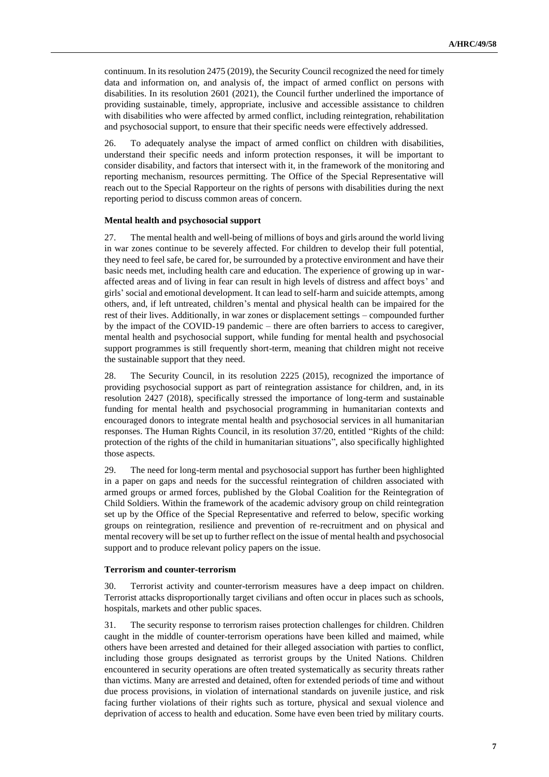continuum. In its resolution 2475 (2019), the Security Council recognized the need for timely data and information on, and analysis of, the impact of armed conflict on persons with disabilities. In its resolution 2601 (2021), the Council further underlined the importance of providing sustainable, timely, appropriate, inclusive and accessible assistance to children with disabilities who were affected by armed conflict, including reintegration, rehabilitation and psychosocial support, to ensure that their specific needs were effectively addressed.

26. To adequately analyse the impact of armed conflict on children with disabilities, understand their specific needs and inform protection responses, it will be important to consider disability, and factors that intersect with it, in the framework of the monitoring and reporting mechanism, resources permitting. The Office of the Special Representative will reach out to the Special Rapporteur on the rights of persons with disabilities during the next reporting period to discuss common areas of concern.

### **Mental health and psychosocial support**

27. The mental health and well-being of millions of boys and girls around the world living in war zones continue to be severely affected. For children to develop their full potential, they need to feel safe, be cared for, be surrounded by a protective environment and have their basic needs met, including health care and education. The experience of growing up in waraffected areas and of living in fear can result in high levels of distress and affect boys' and girls' social and emotional development. It can lead to self-harm and suicide attempts, among others, and, if left untreated, children's mental and physical health can be impaired for the rest of their lives. Additionally, in war zones or displacement settings – compounded further by the impact of the COVID-19 pandemic – there are often barriers to access to caregiver, mental health and psychosocial support, while funding for mental health and psychosocial support programmes is still frequently short-term, meaning that children might not receive the sustainable support that they need.

28. The Security Council, in its resolution 2225 (2015), recognized the importance of providing psychosocial support as part of reintegration assistance for children, and, in its resolution 2427 (2018), specifically stressed the importance of long-term and sustainable funding for mental health and psychosocial programming in humanitarian contexts and encouraged donors to integrate mental health and psychosocial services in all humanitarian responses. The Human Rights Council, in its resolution 37/20, entitled "Rights of the child: protection of the rights of the child in humanitarian situations", also specifically highlighted those aspects.

29. The need for long-term mental and psychosocial support has further been highlighted in a paper on gaps and needs for the successful reintegration of children associated with armed groups or armed forces, published by the Global Coalition for the Reintegration of Child Soldiers. Within the framework of the academic advisory group on child reintegration set up by the Office of the Special Representative and referred to below, specific working groups on reintegration, resilience and prevention of re-recruitment and on physical and mental recovery will be set up to further reflect on the issue of mental health and psychosocial support and to produce relevant policy papers on the issue.

## **Terrorism and counter-terrorism**

30. Terrorist activity and counter-terrorism measures have a deep impact on children. Terrorist attacks disproportionally target civilians and often occur in places such as schools, hospitals, markets and other public spaces.

31. The security response to terrorism raises protection challenges for children. Children caught in the middle of counter-terrorism operations have been killed and maimed, while others have been arrested and detained for their alleged association with parties to conflict, including those groups designated as terrorist groups by the United Nations. Children encountered in security operations are often treated systematically as security threats rather than victims. Many are arrested and detained, often for extended periods of time and without due process provisions, in violation of international standards on juvenile justice, and risk facing further violations of their rights such as torture, physical and sexual violence and deprivation of access to health and education. Some have even been tried by military courts.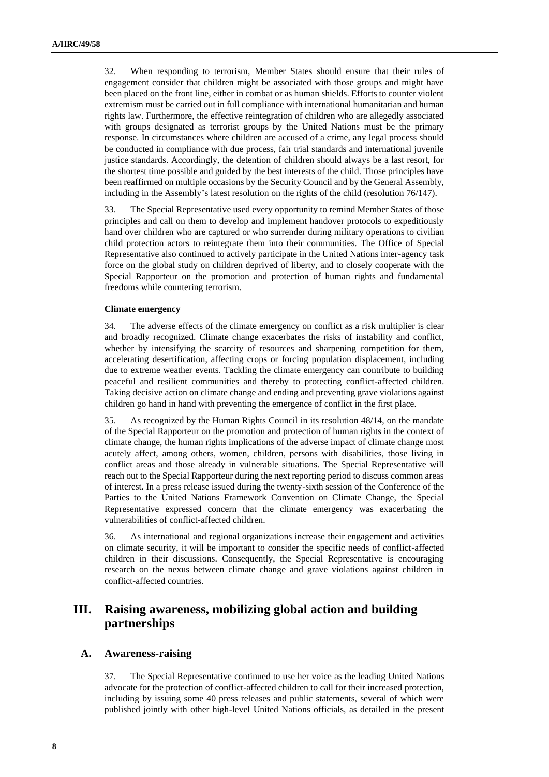32. When responding to terrorism, Member States should ensure that their rules of engagement consider that children might be associated with those groups and might have been placed on the front line, either in combat or as human shields. Efforts to counter violent extremism must be carried out in full compliance with international humanitarian and human rights law. Furthermore, the effective reintegration of children who are allegedly associated with groups designated as terrorist groups by the United Nations must be the primary response. In circumstances where children are accused of a crime, any legal process should be conducted in compliance with due process, fair trial standards and international juvenile justice standards. Accordingly, the detention of children should always be a last resort, for the shortest time possible and guided by the best interests of the child. Those principles have been reaffirmed on multiple occasions by the Security Council and by the General Assembly, including in the Assembly's latest resolution on the rights of the child (resolution 76/147).

33. The Special Representative used every opportunity to remind Member States of those principles and call on them to develop and implement handover protocols to expeditiously hand over children who are captured or who surrender during military operations to civilian child protection actors to reintegrate them into their communities. The Office of Special Representative also continued to actively participate in the United Nations inter-agency task force on the global study on children deprived of liberty, and to closely cooperate with the Special Rapporteur on the promotion and protection of human rights and fundamental freedoms while countering terrorism.

### **Climate emergency**

34. The adverse effects of the climate emergency on conflict as a risk multiplier is clear and broadly recognized. Climate change exacerbates the risks of instability and conflict, whether by intensifying the scarcity of resources and sharpening competition for them, accelerating desertification, affecting crops or forcing population displacement, including due to extreme weather events. Tackling the climate emergency can contribute to building peaceful and resilient communities and thereby to protecting conflict-affected children. Taking decisive action on climate change and ending and preventing grave violations against children go hand in hand with preventing the emergence of conflict in the first place.

35. As recognized by the Human Rights Council in its resolution 48/14, on the mandate of the Special Rapporteur on the promotion and protection of human rights in the context of climate change, the human rights implications of the adverse impact of climate change most acutely affect, among others, women, children, persons with disabilities, those living in conflict areas and those already in vulnerable situations. The Special Representative will reach out to the Special Rapporteur during the next reporting period to discuss common areas of interest. In a press release issued during the twenty-sixth session of the Conference of the Parties to the United Nations Framework Convention on Climate Change, the Special Representative expressed concern that the climate emergency was exacerbating the vulnerabilities of conflict-affected children.

36. As international and regional organizations increase their engagement and activities on climate security, it will be important to consider the specific needs of conflict-affected children in their discussions. Consequently, the Special Representative is encouraging research on the nexus between climate change and grave violations against children in conflict-affected countries.

# **III. Raising awareness, mobilizing global action and building partnerships**

## **A. Awareness-raising**

37. The Special Representative continued to use her voice as the leading United Nations advocate for the protection of conflict-affected children to call for their increased protection, including by issuing some 40 press releases and public statements, several of which were published jointly with other high-level United Nations officials, as detailed in the present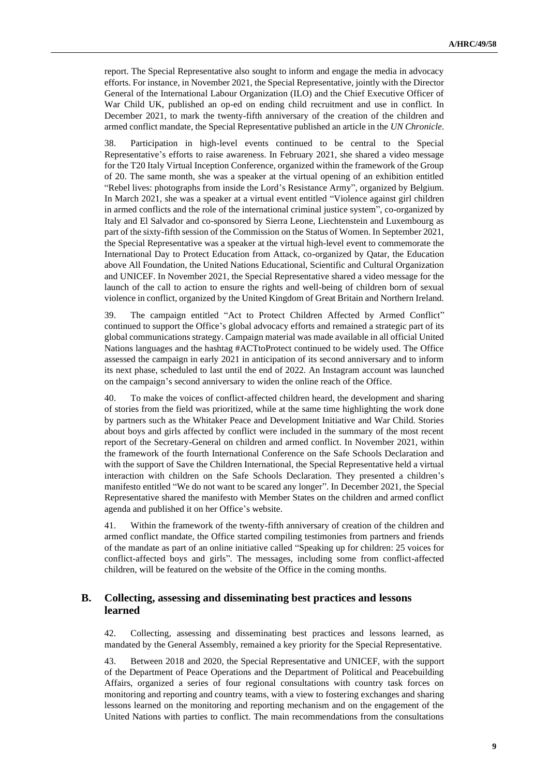report. The Special Representative also sought to inform and engage the media in advocacy efforts. For instance, in November 2021, the Special Representative, jointly with the Director General of the International Labour Organization (ILO) and the Chief Executive Officer of War Child UK, published an op-ed on ending child recruitment and use in conflict. In December 2021, to mark the twenty-fifth anniversary of the creation of the children and armed conflict mandate, the Special Representative published an article in the *UN Chronicle*.

38. Participation in high-level events continued to be central to the Special Representative's efforts to raise awareness. In February 2021, she shared a video message for the T20 Italy Virtual Inception Conference, organized within the framework of the Group of 20. The same month, she was a speaker at the virtual opening of an exhibition entitled "Rebel lives: photographs from inside the Lord's Resistance Army", organized by Belgium. In March 2021, she was a speaker at a virtual event entitled "Violence against girl children in armed conflicts and the role of the international criminal justice system", co-organized by Italy and El Salvador and co-sponsored by Sierra Leone, Liechtenstein and Luxembourg as part of the sixty-fifth session of the Commission on the Status of Women. In September 2021, the Special Representative was a speaker at the virtual high-level event to commemorate the International Day to Protect Education from Attack, co-organized by Qatar, the Education above All Foundation, the United Nations Educational, Scientific and Cultural Organization and UNICEF. In November 2021, the Special Representative shared a video message for the launch of the call to action to ensure the rights and well-being of children born of sexual violence in conflict, organized by the United Kingdom of Great Britain and Northern Ireland.

39. The campaign entitled "Act to Protect Children Affected by Armed Conflict" continued to support the Office's global advocacy efforts and remained a strategic part of its global communications strategy. Campaign material was made available in all official United Nations languages and the hashtag #ACTtoProtect continued to be widely used. The Office assessed the campaign in early 2021 in anticipation of its second anniversary and to inform its next phase, scheduled to last until the end of 2022. An Instagram account was launched on the campaign's second anniversary to widen the online reach of the Office.

40. To make the voices of conflict-affected children heard, the development and sharing of stories from the field was prioritized, while at the same time highlighting the work done by partners such as the Whitaker Peace and Development Initiative and War Child. Stories about boys and girls affected by conflict were included in the summary of the most recent report of the Secretary-General on children and armed conflict. In November 2021, within the framework of the fourth International Conference on the Safe Schools Declaration and with the support of Save the Children International, the Special Representative held a virtual interaction with children on the Safe Schools Declaration. They presented a children's manifesto entitled "We do not want to be scared any longer". In December 2021, the Special Representative shared the manifesto with Member States on the children and armed conflict agenda and published it on her Office's website.

41. Within the framework of the twenty-fifth anniversary of creation of the children and armed conflict mandate, the Office started compiling testimonies from partners and friends of the mandate as part of an online initiative called "Speaking up for children: 25 voices for conflict-affected boys and girls". The messages, including some from conflict-affected children, will be featured on the website of the Office in the coming months.

## **B. Collecting, assessing and disseminating best practices and lessons learned**

42. Collecting, assessing and disseminating best practices and lessons learned, as mandated by the General Assembly, remained a key priority for the Special Representative.

43. Between 2018 and 2020, the Special Representative and UNICEF, with the support of the Department of Peace Operations and the Department of Political and Peacebuilding Affairs, organized a series of four regional consultations with country task forces on monitoring and reporting and country teams, with a view to fostering exchanges and sharing lessons learned on the monitoring and reporting mechanism and on the engagement of the United Nations with parties to conflict. The main recommendations from the consultations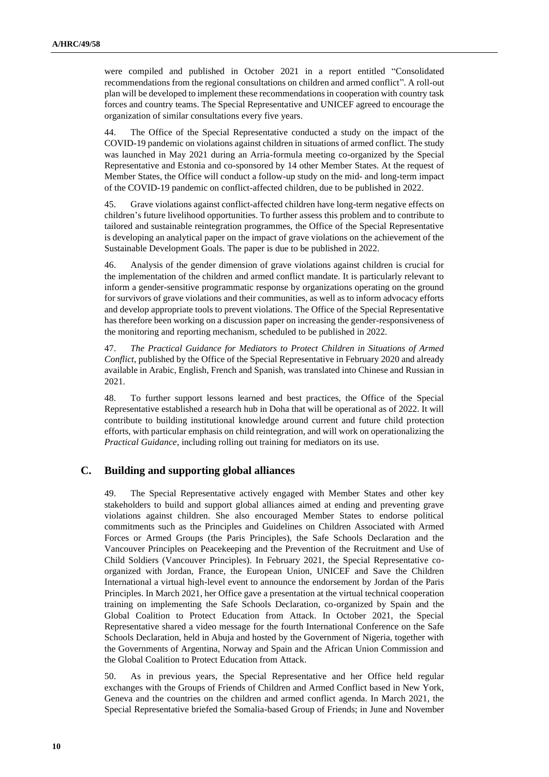were compiled and published in October 2021 in a report entitled "Consolidated recommendations from the regional consultations on children and armed conflict". A roll-out plan will be developed to implement these recommendations in cooperation with country task forces and country teams. The Special Representative and UNICEF agreed to encourage the organization of similar consultations every five years.

44. The Office of the Special Representative conducted a study on the impact of the COVID-19 pandemic on violations against children in situations of armed conflict. The study was launched in May 2021 during an Arria-formula meeting co-organized by the Special Representative and Estonia and co-sponsored by 14 other Member States. At the request of Member States, the Office will conduct a follow-up study on the mid- and long-term impact of the COVID-19 pandemic on conflict-affected children, due to be published in 2022.

45. Grave violations against conflict-affected children have long-term negative effects on children's future livelihood opportunities. To further assess this problem and to contribute to tailored and sustainable reintegration programmes, the Office of the Special Representative is developing an analytical paper on the impact of grave violations on the achievement of the Sustainable Development Goals. The paper is due to be published in 2022.

46. Analysis of the gender dimension of grave violations against children is crucial for the implementation of the children and armed conflict mandate. It is particularly relevant to inform a gender-sensitive programmatic response by organizations operating on the ground for survivors of grave violations and their communities, as well as to inform advocacy efforts and develop appropriate tools to prevent violations. The Office of the Special Representative has therefore been working on a discussion paper on increasing the gender-responsiveness of the monitoring and reporting mechanism, scheduled to be published in 2022.

47. *The Practical Guidance for Mediators to Protect Children in Situations of Armed Conflict*, published by the Office of the Special Representative in February 2020 and already available in Arabic, English, French and Spanish, was translated into Chinese and Russian in 2021.

48. To further support lessons learned and best practices, the Office of the Special Representative established a research hub in Doha that will be operational as of 2022. It will contribute to building institutional knowledge around current and future child protection efforts, with particular emphasis on child reintegration, and will work on operationalizing the *Practical Guidance*, including rolling out training for mediators on its use.

## **C. Building and supporting global alliances**

49. The Special Representative actively engaged with Member States and other key stakeholders to build and support global alliances aimed at ending and preventing grave violations against children. She also encouraged Member States to endorse political commitments such as the Principles and Guidelines on Children Associated with Armed Forces or Armed Groups (the Paris Principles), the Safe Schools Declaration and the Vancouver Principles on Peacekeeping and the Prevention of the Recruitment and Use of Child Soldiers (Vancouver Principles). In February 2021, the Special Representative coorganized with Jordan, France, the European Union, UNICEF and Save the Children International a virtual high-level event to announce the endorsement by Jordan of the Paris Principles. In March 2021, her Office gave a presentation at the virtual technical cooperation training on implementing the Safe Schools Declaration, co-organized by Spain and the Global Coalition to Protect Education from Attack. In October 2021, the Special Representative shared a video message for the fourth International Conference on the Safe Schools Declaration, held in Abuja and hosted by the Government of Nigeria, together with the Governments of Argentina, Norway and Spain and the African Union Commission and the Global Coalition to Protect Education from Attack.

50. As in previous years, the Special Representative and her Office held regular exchanges with the Groups of Friends of Children and Armed Conflict based in New York, Geneva and the countries on the children and armed conflict agenda. In March 2021, the Special Representative briefed the Somalia-based Group of Friends; in June and November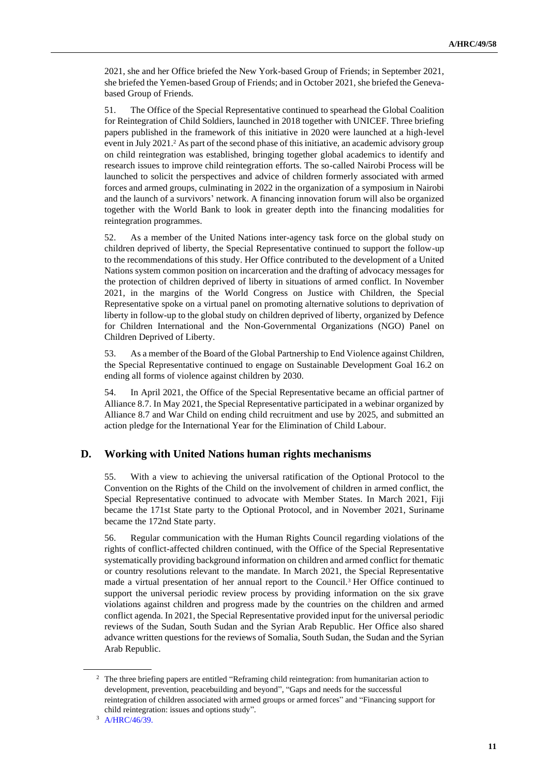2021, she and her Office briefed the New York-based Group of Friends; in September 2021, she briefed the Yemen-based Group of Friends; and in October 2021, she briefed the Genevabased Group of Friends.

51. The Office of the Special Representative continued to spearhead the Global Coalition for Reintegration of Child Soldiers, launched in 2018 together with UNICEF. Three briefing papers published in the framework of this initiative in 2020 were launched at a high-level event in July 2021.<sup>2</sup> As part of the second phase of this initiative, an academic advisory group on child reintegration was established, bringing together global academics to identify and research issues to improve child reintegration efforts. The so-called Nairobi Process will be launched to solicit the perspectives and advice of children formerly associated with armed forces and armed groups, culminating in 2022 in the organization of a symposium in Nairobi and the launch of a survivors' network. A financing innovation forum will also be organized together with the World Bank to look in greater depth into the financing modalities for reintegration programmes.

52. As a member of the United Nations inter-agency task force on the global study on children deprived of liberty, the Special Representative continued to support the follow-up to the recommendations of this study. Her Office contributed to the development of a United Nations system common position on incarceration and the drafting of advocacy messages for the protection of children deprived of liberty in situations of armed conflict. In November 2021, in the margins of the World Congress on Justice with Children, the Special Representative spoke on a virtual panel on promoting alternative solutions to deprivation of liberty in follow-up to the global study on children deprived of liberty, organized by Defence for Children International and the Non-Governmental Organizations (NGO) Panel on Children Deprived of Liberty.

53. As a member of the Board of the Global Partnership to End Violence against Children, the Special Representative continued to engage on Sustainable Development Goal 16.2 on ending all forms of violence against children by 2030.

54. In April 2021, the Office of the Special Representative became an official partner of Alliance 8.7. In May 2021, the Special Representative participated in a webinar organized by Alliance 8.7 and War Child on ending child recruitment and use by 2025, and submitted an action pledge for the International Year for the Elimination of Child Labour.

## **D. Working with United Nations human rights mechanisms**

55. With a view to achieving the universal ratification of the Optional Protocol to the Convention on the Rights of the Child on the involvement of children in armed conflict, the Special Representative continued to advocate with Member States. In March 2021, Fiji became the 171st State party to the Optional Protocol, and in November 2021, Suriname became the 172nd State party.

56. Regular communication with the Human Rights Council regarding violations of the rights of conflict-affected children continued, with the Office of the Special Representative systematically providing background information on children and armed conflict for thematic or country resolutions relevant to the mandate. In March 2021, the Special Representative made a virtual presentation of her annual report to the Council.<sup>3</sup> Her Office continued to support the universal periodic review process by providing information on the six grave violations against children and progress made by the countries on the children and armed conflict agenda. In 2021, the Special Representative provided input for the universal periodic reviews of the Sudan, South Sudan and the Syrian Arab Republic. Her Office also shared advance written questions for the reviews of Somalia, South Sudan, the Sudan and the Syrian Arab Republic.

<sup>&</sup>lt;sup>2</sup> The three briefing papers are entitled "Reframing child reintegration: from humanitarian action to development, prevention, peacebuilding and beyond", "Gaps and needs for the successful reintegration of children associated with armed groups or armed forces" and "Financing support for child reintegration: issues and options study".

<sup>3</sup> [A/HRC/46/39.](http://undocs.org/en/A/HRC/46/39.)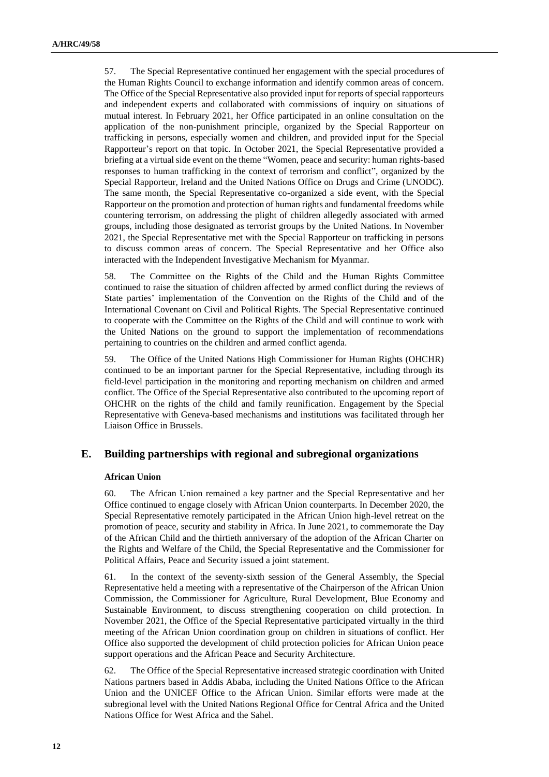57. The Special Representative continued her engagement with the special procedures of the Human Rights Council to exchange information and identify common areas of concern. The Office of the Special Representative also provided input for reports of special rapporteurs and independent experts and collaborated with commissions of inquiry on situations of mutual interest. In February 2021, her Office participated in an online consultation on the application of the non-punishment principle, organized by the Special Rapporteur on trafficking in persons, especially women and children, and provided input for the Special Rapporteur's report on that topic. In October 2021, the Special Representative provided a briefing at a virtual side event on the theme "Women, peace and security: human rights-based responses to human trafficking in the context of terrorism and conflict", organized by the Special Rapporteur, Ireland and the United Nations Office on Drugs and Crime (UNODC). The same month, the Special Representative co-organized a side event, with the Special Rapporteur on the promotion and protection of human rights and fundamental freedoms while countering terrorism, on addressing the plight of children allegedly associated with armed groups, including those designated as terrorist groups by the United Nations. In November 2021, the Special Representative met with the Special Rapporteur on trafficking in persons to discuss common areas of concern. The Special Representative and her Office also interacted with the Independent Investigative Mechanism for Myanmar.

58. The Committee on the Rights of the Child and the Human Rights Committee continued to raise the situation of children affected by armed conflict during the reviews of State parties' implementation of the Convention on the Rights of the Child and of the International Covenant on Civil and Political Rights. The Special Representative continued to cooperate with the Committee on the Rights of the Child and will continue to work with the United Nations on the ground to support the implementation of recommendations pertaining to countries on the children and armed conflict agenda.

59. The Office of the United Nations High Commissioner for Human Rights (OHCHR) continued to be an important partner for the Special Representative, including through its field-level participation in the monitoring and reporting mechanism on children and armed conflict. The Office of the Special Representative also contributed to the upcoming report of OHCHR on the rights of the child and family reunification. Engagement by the Special Representative with Geneva-based mechanisms and institutions was facilitated through her Liaison Office in Brussels.

## **E. Building partnerships with regional and subregional organizations**

### **African Union**

60. The African Union remained a key partner and the Special Representative and her Office continued to engage closely with African Union counterparts. In December 2020, the Special Representative remotely participated in the African Union high-level retreat on the promotion of peace, security and stability in Africa. In June 2021, to commemorate the Day of the African Child and the thirtieth anniversary of the adoption of the African Charter on the Rights and Welfare of the Child, the Special Representative and the Commissioner for Political Affairs, Peace and Security issued a joint statement.

61. In the context of the seventy-sixth session of the General Assembly, the Special Representative held a meeting with a representative of the Chairperson of the African Union Commission, the Commissioner for Agriculture, Rural Development, Blue Economy and Sustainable Environment, to discuss strengthening cooperation on child protection. In November 2021, the Office of the Special Representative participated virtually in the third meeting of the African Union coordination group on children in situations of conflict. Her Office also supported the development of child protection policies for African Union peace support operations and the African Peace and Security Architecture.

62. The Office of the Special Representative increased strategic coordination with United Nations partners based in Addis Ababa, including the United Nations Office to the African Union and the UNICEF Office to the African Union. Similar efforts were made at the subregional level with the United Nations Regional Office for Central Africa and the United Nations Office for West Africa and the Sahel.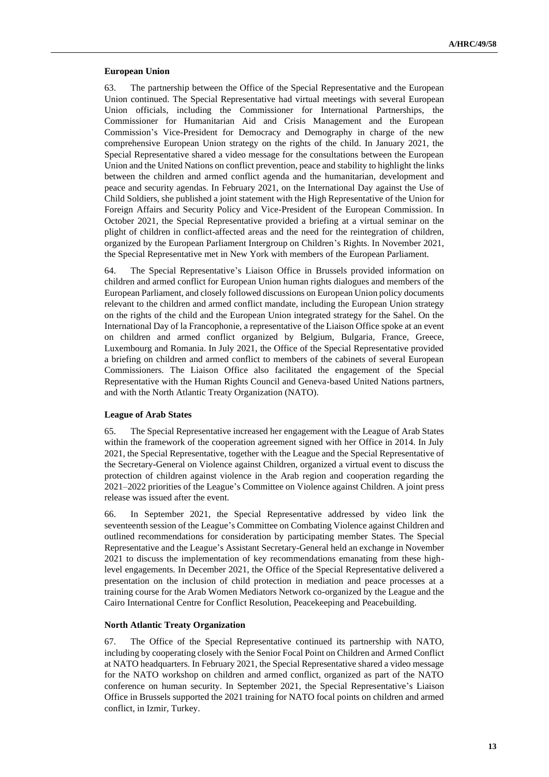#### **European Union**

63. The partnership between the Office of the Special Representative and the European Union continued. The Special Representative had virtual meetings with several European Union officials, including the Commissioner for International Partnerships, the Commissioner for Humanitarian Aid and Crisis Management and the European Commission's Vice-President for Democracy and Demography in charge of the new comprehensive European Union strategy on the rights of the child. In January 2021, the Special Representative shared a video message for the consultations between the European Union and the United Nations on conflict prevention, peace and stability to highlight the links between the children and armed conflict agenda and the humanitarian, development and peace and security agendas. In February 2021, on the International Day against the Use of Child Soldiers, she published a joint statement with the High Representative of the Union for Foreign Affairs and Security Policy and Vice-President of the European Commission. In October 2021, the Special Representative provided a briefing at a virtual seminar on the plight of children in conflict-affected areas and the need for the reintegration of children, organized by the European Parliament Intergroup on Children's Rights. In November 2021, the Special Representative met in New York with members of the European Parliament.

64. The Special Representative's Liaison Office in Brussels provided information on children and armed conflict for European Union human rights dialogues and members of the European Parliament, and closely followed discussions on European Union policy documents relevant to the children and armed conflict mandate, including the European Union strategy on the rights of the child and the European Union integrated strategy for the Sahel. On the International Day of la Francophonie, a representative of the Liaison Office spoke at an event on children and armed conflict organized by Belgium, Bulgaria, France, Greece, Luxembourg and Romania. In July 2021, the Office of the Special Representative provided a briefing on children and armed conflict to members of the cabinets of several European Commissioners. The Liaison Office also facilitated the engagement of the Special Representative with the Human Rights Council and Geneva-based United Nations partners, and with the North Atlantic Treaty Organization (NATO).

### **League of Arab States**

65. The Special Representative increased her engagement with the League of Arab States within the framework of the cooperation agreement signed with her Office in 2014. In July 2021, the Special Representative, together with the League and the Special Representative of the Secretary-General on Violence against Children, organized a virtual event to discuss the protection of children against violence in the Arab region and cooperation regarding the 2021–2022 priorities of the League's Committee on Violence against Children. A joint press release was issued after the event.

66. In September 2021, the Special Representative addressed by video link the seventeenth session of the League's Committee on Combating Violence against Children and outlined recommendations for consideration by participating member States. The Special Representative and the League's Assistant Secretary-General held an exchange in November 2021 to discuss the implementation of key recommendations emanating from these highlevel engagements. In December 2021, the Office of the Special Representative delivered a presentation on the inclusion of child protection in mediation and peace processes at a training course for the Arab Women Mediators Network co-organized by the League and the Cairo International Centre for Conflict Resolution, Peacekeeping and Peacebuilding.

### **North Atlantic Treaty Organization**

67. The Office of the Special Representative continued its partnership with NATO, including by cooperating closely with the Senior Focal Point on Children and Armed Conflict at NATO headquarters. In February 2021, the Special Representative shared a video message for the NATO workshop on children and armed conflict, organized as part of the NATO conference on human security. In September 2021, the Special Representative's Liaison Office in Brussels supported the 2021 training for NATO focal points on children and armed conflict, in Izmir, Turkey.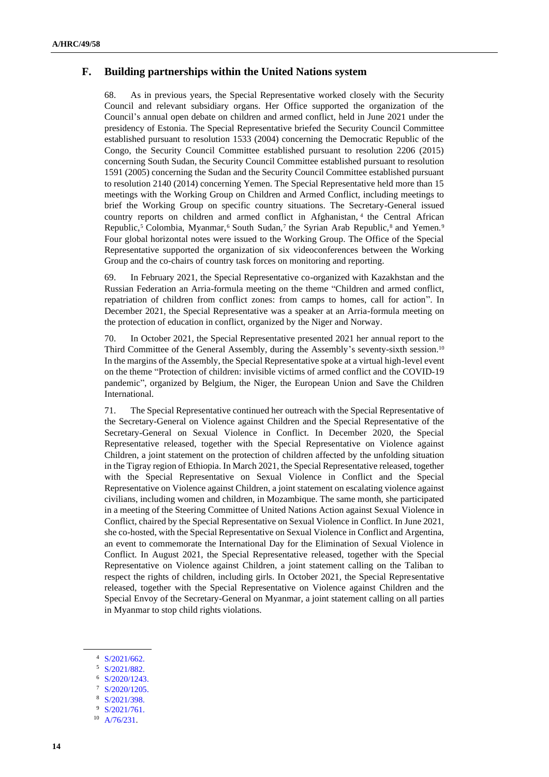## **F. Building partnerships within the United Nations system**

68. As in previous years, the Special Representative worked closely with the Security Council and relevant subsidiary organs. Her Office supported the organization of the Council's annual open debate on children and armed conflict, held in June 2021 under the presidency of Estonia. The Special Representative briefed the Security Council Committee established pursuant to resolution 1533 (2004) concerning the Democratic Republic of the Congo, the Security Council Committee established pursuant to resolution 2206 (2015) concerning South Sudan, the Security Council Committee established pursuant to resolution 1591 (2005) concerning the Sudan and the Security Council Committee established pursuant to resolution 2140 (2014) concerning Yemen. The Special Representative held more than 15 meetings with the Working Group on Children and Armed Conflict, including meetings to brief the Working Group on specific country situations. The Secretary-General issued country reports on children and armed conflict in Afghanistan, <sup>4</sup> the Central African Republic,<sup>5</sup> Colombia, Myanmar,<sup>6</sup> South Sudan,<sup>7</sup> the Syrian Arab Republic,<sup>8</sup> and Yemen.<sup>9</sup> Four global horizontal notes were issued to the Working Group. The Office of the Special Representative supported the organization of six videoconferences between the Working Group and the co-chairs of country task forces on monitoring and reporting.

69. In February 2021, the Special Representative co-organized with Kazakhstan and the Russian Federation an Arria-formula meeting on the theme "Children and armed conflict, repatriation of children from conflict zones: from camps to homes, call for action". In December 2021, the Special Representative was a speaker at an Arria-formula meeting on the protection of education in conflict, organized by the Niger and Norway.

70. In October 2021, the Special Representative presented 2021 her annual report to the Third Committee of the General Assembly, during the Assembly's seventy-sixth session.<sup>10</sup> In the margins of the Assembly, the Special Representative spoke at a virtual high-level event on the theme "Protection of children: invisible victims of armed conflict and the COVID-19 pandemic", organized by Belgium, the Niger, the European Union and Save the Children International.

71. The Special Representative continued her outreach with the Special Representative of the Secretary-General on Violence against Children and the Special Representative of the Secretary-General on Sexual Violence in Conflict. In December 2020, the Special Representative released, together with the Special Representative on Violence against Children, a joint statement on the protection of children affected by the unfolding situation in the Tigray region of Ethiopia. In March 2021, the Special Representative released, together with the Special Representative on Sexual Violence in Conflict and the Special Representative on Violence against Children, a joint statement on escalating violence against civilians, including women and children, in Mozambique. The same month, she participated in a meeting of the Steering Committee of United Nations Action against Sexual Violence in Conflict, chaired by the Special Representative on Sexual Violence in Conflict. In June 2021, she co-hosted, with the Special Representative on Sexual Violence in Conflict and Argentina, an event to commemorate the International Day for the Elimination of Sexual Violence in Conflict. In August 2021, the Special Representative released, together with the Special Representative on Violence against Children, a joint statement calling on the Taliban to respect the rights of children, including girls. In October 2021, the Special Representative released, together with the Special Representative on Violence against Children and the Special Envoy of the Secretary-General on Myanmar, a joint statement calling on all parties in Myanmar to stop child rights violations.

<sup>4</sup> [S/2021/662.](http://undocs.org/en/S/2021/662.)

<sup>5</sup> [S/2021/882.](http://undocs.org/en/S/2021/882.)

<sup>6</sup> [S/2020/1243.](http://undocs.org/en/S/2020/1243.)

<sup>7</sup> [S/2020/1205.](http://undocs.org/en/S/2020/1205.)

[S/2021/398.](http://undocs.org/en/S/2021/398.)

<sup>9</sup> [S/2021/761.](http://undocs.org/en/S/2021/761.)

<sup>10</sup> A/76/231.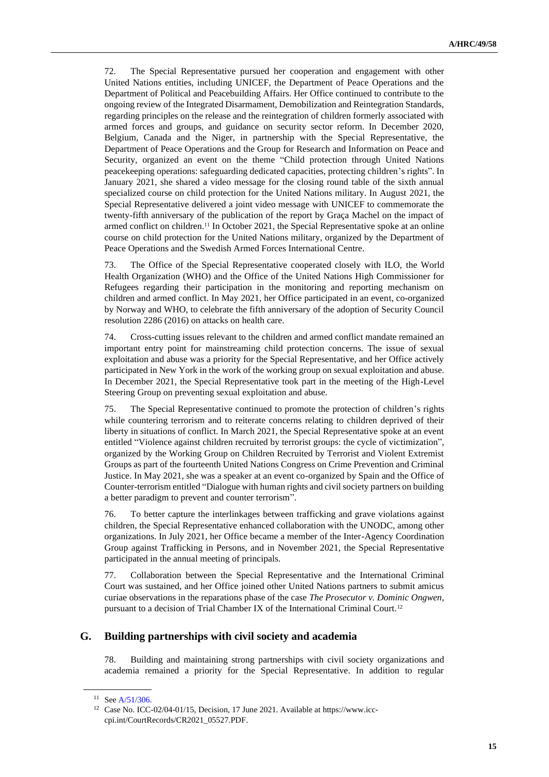72. The Special Representative pursued her cooperation and engagement with other United Nations entities, including UNICEF, the Department of Peace Operations and the Department of Political and Peacebuilding Affairs. Her Office continued to contribute to the ongoing review of the Integrated Disarmament, Demobilization and Reintegration Standards, regarding principles on the release and the reintegration of children formerly associated with armed forces and groups, and guidance on security sector reform. In December 2020, Belgium, Canada and the Niger, in partnership with the Special Representative, the Department of Peace Operations and the Group for Research and Information on Peace and Security, organized an event on the theme "Child protection through United Nations peacekeeping operations: safeguarding dedicated capacities, protecting children's rights". In January 2021, she shared a video message for the closing round table of the sixth annual specialized course on child protection for the United Nations military. In August 2021, the Special Representative delivered a joint video message with UNICEF to commemorate the twenty-fifth anniversary of the publication of the report by Graça Machel on the impact of armed conflict on children.<sup>11</sup> In October 2021, the Special Representative spoke at an online course on child protection for the United Nations military, organized by the Department of Peace Operations and the Swedish Armed Forces International Centre.

73. The Office of the Special Representative cooperated closely with ILO, the World Health Organization (WHO) and the Office of the United Nations High Commissioner for Refugees regarding their participation in the monitoring and reporting mechanism on children and armed conflict. In May 2021, her Office participated in an event, co-organized by Norway and WHO, to celebrate the fifth anniversary of the adoption of Security Council resolution 2286 (2016) on attacks on health care.

74. Cross-cutting issues relevant to the children and armed conflict mandate remained an important entry point for mainstreaming child protection concerns. The issue of sexual exploitation and abuse was a priority for the Special Representative, and her Office actively participated in New York in the work of the working group on sexual exploitation and abuse. In December 2021, the Special Representative took part in the meeting of the High-Level Steering Group on preventing sexual exploitation and abuse.

75. The Special Representative continued to promote the protection of children's rights while countering terrorism and to reiterate concerns relating to children deprived of their liberty in situations of conflict. In March 2021, the Special Representative spoke at an event entitled "Violence against children recruited by terrorist groups: the cycle of victimization", organized by the Working Group on Children Recruited by Terrorist and Violent Extremist Groups as part of the fourteenth United Nations Congress on Crime Prevention and Criminal Justice. In May 2021, she was a speaker at an event co-organized by Spain and the Office of Counter-terrorism entitled "Dialogue with human rights and civil society partners on building a better paradigm to prevent and counter terrorism".

76. To better capture the interlinkages between trafficking and grave violations against children, the Special Representative enhanced collaboration with the UNODC, among other organizations. In July 2021, her Office became a member of the Inter-Agency Coordination Group against Trafficking in Persons, and in November 2021, the Special Representative participated in the annual meeting of principals.

77. Collaboration between the Special Representative and the International Criminal Court was sustained, and her Office joined other United Nations partners to submit amicus curiae observations in the reparations phase of the case *The Prosecutor v. Dominic Ongwen*, pursuant to a decision of Trial Chamber IX of the International Criminal Court.<sup>12</sup>

## **G. Building partnerships with civil society and academia**

78. Building and maintaining strong partnerships with civil society organizations and academia remained a priority for the Special Representative. In addition to regular

<sup>&</sup>lt;sup>11</sup> Se[e A/51/306.](http://undocs.org/en/A/51/306.)

<sup>12</sup> Case No. ICC-02/04-01/15, Decision, 17 June 2021. Available at https://www.icccpi.int/CourtRecords/CR2021\_05527.PDF.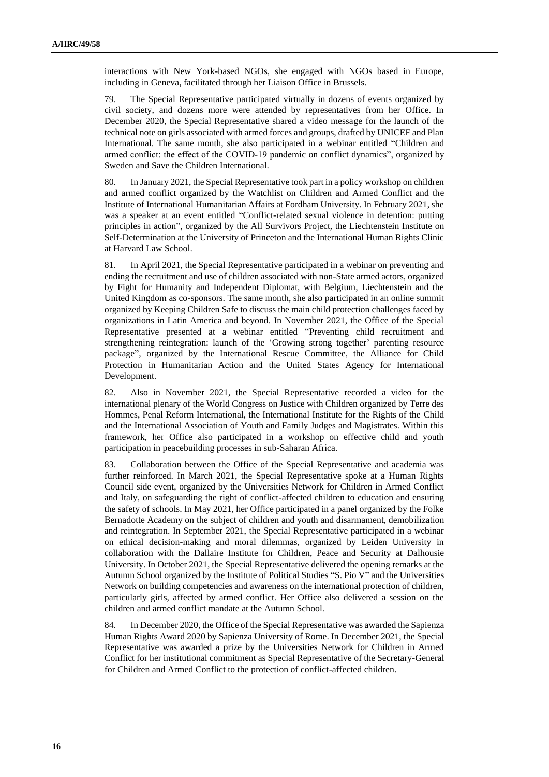interactions with New York-based NGOs, she engaged with NGOs based in Europe, including in Geneva, facilitated through her Liaison Office in Brussels.

79. The Special Representative participated virtually in dozens of events organized by civil society, and dozens more were attended by representatives from her Office. In December 2020, the Special Representative shared a video message for the launch of the technical note on girls associated with armed forces and groups, drafted by UNICEF and Plan International. The same month, she also participated in a webinar entitled "Children and armed conflict: the effect of the COVID-19 pandemic on conflict dynamics", organized by Sweden and Save the Children International.

80. In January 2021, the Special Representative took part in a policy workshop on children and armed conflict organized by the Watchlist on Children and Armed Conflict and the Institute of International Humanitarian Affairs at Fordham University. In February 2021, she was a speaker at an event entitled "Conflict-related sexual violence in detention: putting principles in action", organized by the All Survivors Project, the Liechtenstein Institute on Self-Determination at the University of Princeton and the International Human Rights Clinic at Harvard Law School.

81. In April 2021, the Special Representative participated in a webinar on preventing and ending the recruitment and use of children associated with non-State armed actors, organized by Fight for Humanity and Independent Diplomat, with Belgium, Liechtenstein and the United Kingdom as co-sponsors. The same month, she also participated in an online summit organized by Keeping Children Safe to discuss the main child protection challenges faced by organizations in Latin America and beyond. In November 2021, the Office of the Special Representative presented at a webinar entitled "Preventing child recruitment and strengthening reintegration: launch of the 'Growing strong together' parenting resource package", organized by the International Rescue Committee, the Alliance for Child Protection in Humanitarian Action and the United States Agency for International Development.

82. Also in November 2021, the Special Representative recorded a video for the international plenary of the World Congress on Justice with Children organized by Terre des Hommes, Penal Reform International, the International Institute for the Rights of the Child and the International Association of Youth and Family Judges and Magistrates. Within this framework, her Office also participated in a workshop on effective child and youth participation in peacebuilding processes in sub-Saharan Africa.

83. Collaboration between the Office of the Special Representative and academia was further reinforced. In March 2021, the Special Representative spoke at a Human Rights Council side event, organized by the Universities Network for Children in Armed Conflict and Italy, on safeguarding the right of conflict-affected children to education and ensuring the safety of schools. In May 2021, her Office participated in a panel organized by the Folke Bernadotte Academy on the subject of children and youth and disarmament, demobilization and reintegration. In September 2021, the Special Representative participated in a webinar on ethical decision-making and moral dilemmas, organized by Leiden University in collaboration with the Dallaire Institute for Children, Peace and Security at Dalhousie University. In October 2021, the Special Representative delivered the opening remarks at the Autumn School organized by the Institute of Political Studies "S. Pio V" and the Universities Network on building competencies and awareness on the international protection of children, particularly girls, affected by armed conflict. Her Office also delivered a session on the children and armed conflict mandate at the Autumn School.

84. In December 2020, the Office of the Special Representative was awarded the Sapienza Human Rights Award 2020 by Sapienza University of Rome. In December 2021, the Special Representative was awarded a prize by the Universities Network for Children in Armed Conflict for her institutional commitment as Special Representative of the Secretary-General for Children and Armed Conflict to the protection of conflict-affected children.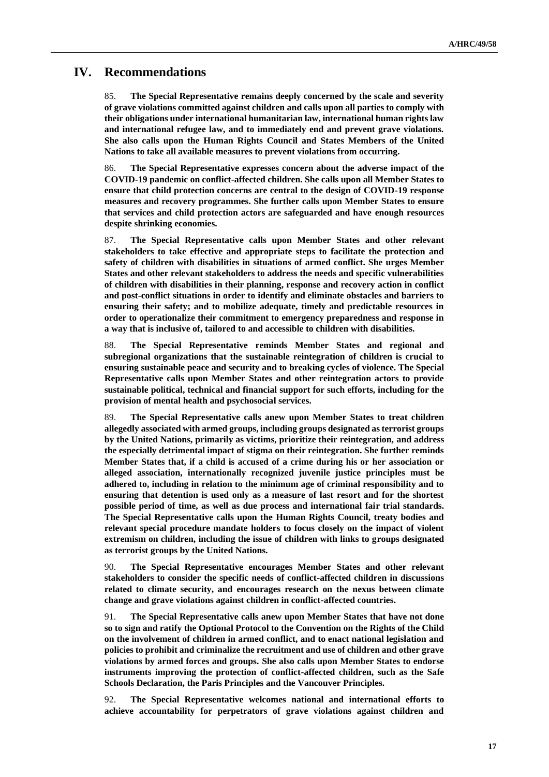# **IV. Recommendations**

85. **The Special Representative remains deeply concerned by the scale and severity of grave violations committed against children and calls upon all parties to comply with their obligations under international humanitarian law, international human rights law and international refugee law, and to immediately end and prevent grave violations. She also calls upon the Human Rights Council and States Members of the United Nations to take all available measures to prevent violations from occurring.**

86. **The Special Representative expresses concern about the adverse impact of the COVID-19 pandemic on conflict-affected children. She calls upon all Member States to ensure that child protection concerns are central to the design of COVID-19 response measures and recovery programmes. She further calls upon Member States to ensure that services and child protection actors are safeguarded and have enough resources despite shrinking economies.**

87. **The Special Representative calls upon Member States and other relevant stakeholders to take effective and appropriate steps to facilitate the protection and safety of children with disabilities in situations of armed conflict. She urges Member States and other relevant stakeholders to address the needs and specific vulnerabilities of children with disabilities in their planning, response and recovery action in conflict and post-conflict situations in order to identify and eliminate obstacles and barriers to ensuring their safety; and to mobilize adequate, timely and predictable resources in order to operationalize their commitment to emergency preparedness and response in a way that is inclusive of, tailored to and accessible to children with disabilities.**

88. **The Special Representative reminds Member States and regional and subregional organizations that the sustainable reintegration of children is crucial to ensuring sustainable peace and security and to breaking cycles of violence. The Special Representative calls upon Member States and other reintegration actors to provide sustainable political, technical and financial support for such efforts, including for the provision of mental health and psychosocial services.**

89. **The Special Representative calls anew upon Member States to treat children allegedly associated with armed groups, including groups designated as terrorist groups by the United Nations, primarily as victims, prioritize their reintegration, and address the especially detrimental impact of stigma on their reintegration. She further reminds Member States that, if a child is accused of a crime during his or her association or alleged association, internationally recognized juvenile justice principles must be adhered to, including in relation to the minimum age of criminal responsibility and to ensuring that detention is used only as a measure of last resort and for the shortest possible period of time, as well as due process and international fair trial standards. The Special Representative calls upon the Human Rights Council, treaty bodies and relevant special procedure mandate holders to focus closely on the impact of violent extremism on children, including the issue of children with links to groups designated as terrorist groups by the United Nations.**

90. **The Special Representative encourages Member States and other relevant stakeholders to consider the specific needs of conflict-affected children in discussions related to climate security, and encourages research on the nexus between climate change and grave violations against children in conflict-affected countries.**

91. **The Special Representative calls anew upon Member States that have not done so to sign and ratify the Optional Protocol to the Convention on the Rights of the Child on the involvement of children in armed conflict, and to enact national legislation and policies to prohibit and criminalize the recruitment and use of children and other grave violations by armed forces and groups. She also calls upon Member States to endorse instruments improving the protection of conflict-affected children, such as the Safe Schools Declaration, the Paris Principles and the Vancouver Principles.**

92. **The Special Representative welcomes national and international efforts to achieve accountability for perpetrators of grave violations against children and**